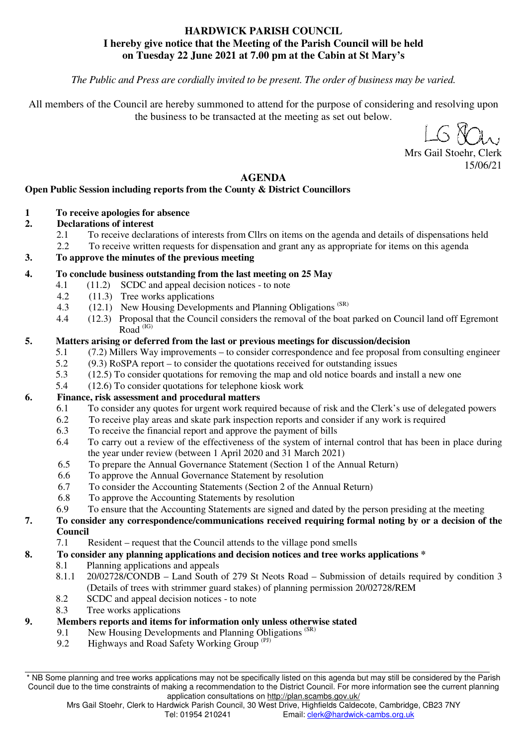## **HARDWICK PARISH COUNCIL I hereby give notice that the Meeting of the Parish Council will be held on Tuesday 22 June 2021 at 7.00 pm at the Cabin at St Mary's**

*The Public and Press are cordially invited to be present. The order of business may be varied.* 

All members of the Council are hereby summoned to attend for the purpose of considering and resolving upon the business to be transacted at the meeting as set out below.

 $\left(\sim\right)$ 

Mrs Gail Stoehr, Clerk 15/06/21

#### **AGENDA**

## **Open Public Session including reports from the County & District Councillors**

**1 To receive apologies for absence** 

## **2. Declarations of interest**

- 2.1 To receive declarations of interests from Cllrs on items on the agenda and details of dispensations held
- 2.2 To receive written requests for dispensation and grant any as appropriate for items on this agenda

## **3. To approve the minutes of the previous meeting**

## **4. To conclude business outstanding from the last meeting on 25 May**

- 4.1 (11.2) SCDC and appeal decision notices to note
- 4.2 (11.3) Tree works applications
- 4.3 (12.1) New Housing Developments and Planning Obligations (SR)
- 4.4 (12.3) Proposal that the Council considers the removal of the boat parked on Council land off Egremont  $Rad$ <sup>(IG)</sup>

## **5. Matters arising or deferred from the last or previous meetings for discussion/decision**

- 5.1 (7.2) Millers Way improvements to consider correspondence and fee proposal from consulting engineer
- 5.2 (9.3) RoSPA report to consider the quotations received for outstanding issues<br>5.3 (12.5) To consider quotations for removing the man and old notice boards and in
- 5.3 (12.5) To consider quotations for removing the map and old notice boards and install a new one
- 5.4 (12.6) To consider quotations for telephone kiosk work

## **6. Finance, risk assessment and procedural matters**

- 6.1 To consider any quotes for urgent work required because of risk and the Clerk's use of delegated powers
- 6.2 To receive play areas and skate park inspection reports and consider if any work is required<br>6.3 To receive the financial report and approve the payment of bills
- To receive the financial report and approve the payment of bills
- 6.4 To carry out a review of the effectiveness of the system of internal control that has been in place during the year under review (between 1 April 2020 and 31 March 2021)
- 6.5 To prepare the Annual Governance Statement (Section 1 of the Annual Return)
- 6.6 To approve the Annual Governance Statement by resolution
- 6.7 To consider the Accounting Statements (Section 2 of the Annual Return)
- 6.8 To approve the Accounting Statements by resolution
- 6.9 To ensure that the Accounting Statements are signed and dated by the person presiding at the meeting

#### **7. To consider any correspondence/communications received requiring formal noting by or a decision of the Council**

7.1 Resident – request that the Council attends to the village pond smells

- **8. To consider any planning applications and decision notices and tree works applications \*** 
	- 8.1 Planning applications and appeals
		- 8.1.1 20/02728/CONDB Land South of 279 St Neots Road Submission of details required by condition 3 (Details of trees with strimmer guard stakes) of planning permission 20/02728/REM
		- 8.2 SCDC and appeal decision notices to note
		- 8.3 Tree works applications

## **9. Members reports and items for information only unless otherwise stated**

- 9.1 New Housing Developments and Planning Obligations<sup>(SR)</sup>
- 9.2 Highways and Road Safety Working Group<sup>(PJ)</sup>

\* NB Some planning and tree works applications may not be specifically listed on this agenda but may still be considered by the Parish Council due to the time constraints of making a recommendation to the District Council. For more information see the current planning application consultations on http://plan.scambs.gov.uk/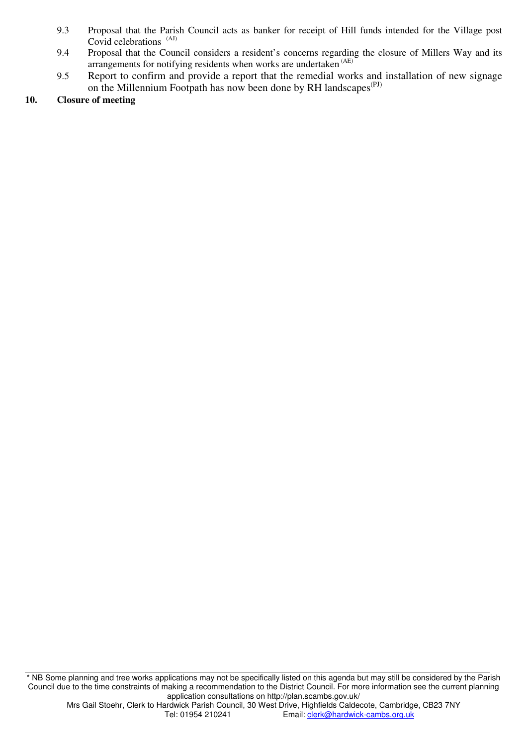- 9.3 Proposal that the Parish Council acts as banker for receipt of Hill funds intended for the Village post Covid celebrations<sup>(AJ)</sup>
- 9.4 Proposal that the Council considers a resident's concerns regarding the closure of Millers Way and its arrangements for notifying residents when works are undertaken (AE)
- 9.5 Report to confirm and provide a report that the remedial works and installation of new signage on the Millennium Footpath has now been done by RH landscapes<sup>(PJ)</sup>

#### **10. Closure of meeting**

<sup>\*</sup> NB Some planning and tree works applications may not be specifically listed on this agenda but may still be considered by the Parish Council due to the time constraints of making a recommendation to the District Council. For more information see the current planning application consultations on http://plan.scambs.gov.uk/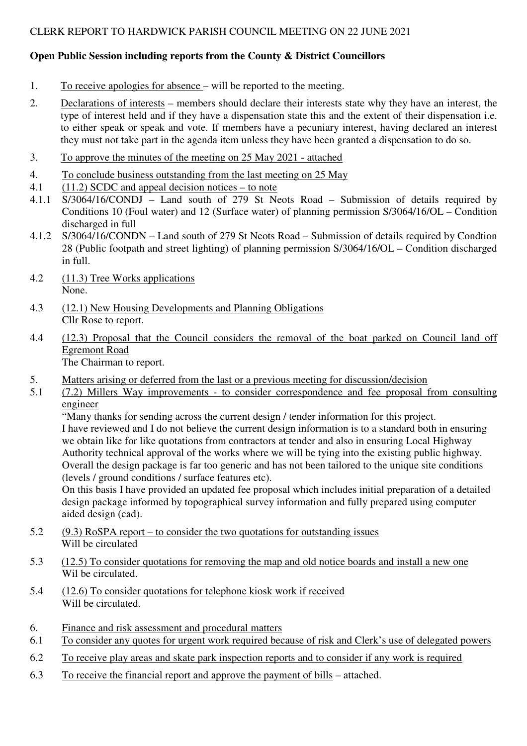# **Open Public Session including reports from the County & District Councillors**

- 1. To receive apologies for absence will be reported to the meeting.
- 2. Declarations of interests members should declare their interests state why they have an interest, the type of interest held and if they have a dispensation state this and the extent of their dispensation i.e. to either speak or speak and vote. If members have a pecuniary interest, having declared an interest they must not take part in the agenda item unless they have been granted a dispensation to do so.
- 3. To approve the minutes of the meeting on 25 May 2021 attached
- 4. To conclude business outstanding from the last meeting on 25 May
- 4.1 (11.2) SCDC and appeal decision notices to note
- 4.1.1 S/3064/16/CONDJ Land south of 279 St Neots Road Submission of details required by Conditions 10 (Foul water) and 12 (Surface water) of planning permission S/3064/16/OL – Condition discharged in full
- 4.1.2 S/3064/16/CONDN Land south of 279 St Neots Road Submission of details required by Condtion 28 (Public footpath and street lighting) of planning permission S/3064/16/OL – Condition discharged in full.
- 4.2 (11.3) Tree Works applications None.
- 4.3 (12.1) New Housing Developments and Planning Obligations Cllr Rose to report.
- 4.4 (12.3) Proposal that the Council considers the removal of the boat parked on Council land off Egremont Road The Chairman to report.
- 5. Matters arising or deferred from the last or a previous meeting for discussion/decision
- 5.1 (7.2) Millers Way improvements to consider correspondence and fee proposal from consulting engineer

 "Many thanks for sending across the current design / tender information for this project. I have reviewed and I do not believe the current design information is to a standard both in ensuring we obtain like for like quotations from contractors at tender and also in ensuring Local Highway Authority technical approval of the works where we will be tying into the existing public highway. Overall the design package is far too generic and has not been tailored to the unique site conditions (levels / ground conditions / surface features etc).

On this basis I have provided an updated fee proposal which includes initial preparation of a detailed design package informed by topographical survey information and fully prepared using computer aided design (cad).

- 5.2 (9.3) RoSPA report to consider the two quotations for outstanding issues Will be circulated
- 5.3 (12.5) To consider quotations for removing the map and old notice boards and install a new one Wil be circulated.
- 5.4 (12.6) To consider quotations for telephone kiosk work if received Will be circulated.
- 6. Finance and risk assessment and procedural matters
- 6.1 To consider any quotes for urgent work required because of risk and Clerk's use of delegated powers
- 6.2 To receive play areas and skate park inspection reports and to consider if any work is required
- 6.3 To receive the financial report and approve the payment of bills attached.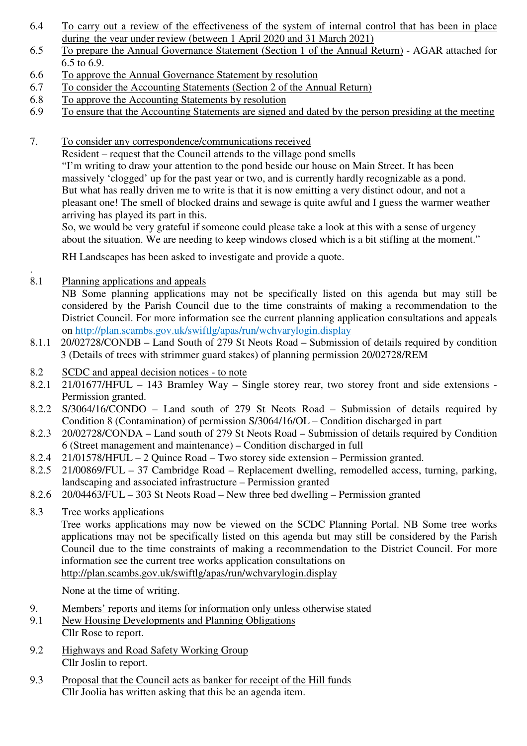- 6.4 To carry out a review of the effectiveness of the system of internal control that has been in place during the year under review (between 1 April 2020 and 31 March 2021)
- 6.5 To prepare the Annual Governance Statement (Section 1 of the Annual Return) AGAR attached for 6.5 to 6.9.
- 6.6 To approve the Annual Governance Statement by resolution
- 6.7 To consider the Accounting Statements (Section 2 of the Annual Return)
- 6.8 To approve the Accounting Statements by resolution
- 6.9 To ensure that the Accounting Statements are signed and dated by the person presiding at the meeting
- 7. To consider any correspondence/communications received

 Resident – request that the Council attends to the village pond smells "I'm writing to draw your attention to the pond beside our house on Main Street. It has been massively 'clogged' up for the past year or two, and is currently hardly recognizable as a pond. But what has really driven me to write is that it is now emitting a very distinct odour, and not a pleasant one! The smell of blocked drains and sewage is quite awful and I guess the warmer weather arriving has played its part in this.

So, we would be very grateful if someone could please take a look at this with a sense of urgency about the situation. We are needing to keep windows closed which is a bit stifling at the moment."

RH Landscapes has been asked to investigate and provide a quote.

8.1 Planning applications and appeals

.

NB Some planning applications may not be specifically listed on this agenda but may still be considered by the Parish Council due to the time constraints of making a recommendation to the District Council. For more information see the current planning application consultations and appeals on http://plan.scambs.gov.uk/swiftlg/apas/run/wchvarylogin.display

- 8.1.1 20/02728/CONDB Land South of 279 St Neots Road Submission of details required by condition 3 (Details of trees with strimmer guard stakes) of planning permission 20/02728/REM
- 8.2 SCDC and appeal decision notices to note
- 8.2.1 21/01677/HFUL 143 Bramley Way Single storey rear, two storey front and side extensions Permission granted.
- 8.2.2 S/3064/16/CONDO Land south of 279 St Neots Road Submission of details required by Condition 8 (Contamination) of permission S/3064/16/OL – Condition discharged in part
- 8.2.3 20/02728/CONDA Land south of 279 St Neots Road Submission of details required by Condition 6 (Street management and maintenance) – Condition discharged in full
- 8.2.4 21/01578/HFUL 2 Quince Road Two storey side extension Permission granted.
- 8.2.5 21/00869/FUL 37 Cambridge Road Replacement dwelling, remodelled access, turning, parking, landscaping and associated infrastructure – Permission granted
- 8.2.6 20/04463/FUL 303 St Neots Road New three bed dwelling Permission granted
- 8.3 Tree works applications

Tree works applications may now be viewed on the SCDC Planning Portal. NB Some tree works applications may not be specifically listed on this agenda but may still be considered by the Parish Council due to the time constraints of making a recommendation to the District Council. For more information see the current tree works application consultations on http://plan.scambs.gov.uk/swiftlg/apas/run/wchvarylogin.display

None at the time of writing.

- 9. Members' reports and items for information only unless otherwise stated
- 9.1 New Housing Developments and Planning Obligations Cllr Rose to report.
- 9.2 Highways and Road Safety Working Group Cllr Joslin to report.
- 9.3 Proposal that the Council acts as banker for receipt of the Hill funds Cllr Joolia has written asking that this be an agenda item.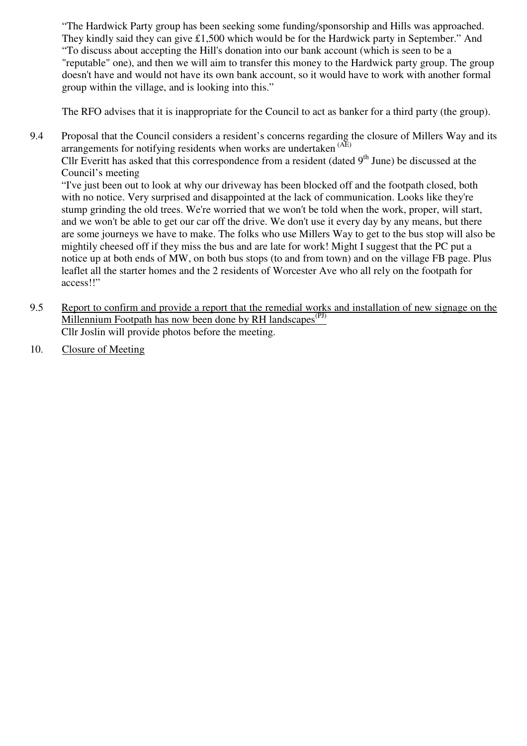"The Hardwick Party group has been seeking some funding/sponsorship and Hills was approached. They kindly said they can give £1,500 which would be for the Hardwick party in September." And "To discuss about accepting the Hill's donation into our bank account (which is seen to be a "reputable" one), and then we will aim to transfer this money to the Hardwick party group. The group doesn't have and would not have its own bank account, so it would have to work with another formal group within the village, and is looking into this."

The RFO advises that it is inappropriate for the Council to act as banker for a third party (the group).

9.4 Proposal that the Council considers a resident's concerns regarding the closure of Millers Way and its arrangements for notifying residents when works are undertaken (AE)

Cllr Everitt has asked that this correspondence from a resident (dated  $9<sup>th</sup>$  June) be discussed at the Council's meeting

"I've just been out to look at why our driveway has been blocked off and the footpath closed, both with no notice. Very surprised and disappointed at the lack of communication. Looks like they're stump grinding the old trees. We're worried that we won't be told when the work, proper, will start, and we won't be able to get our car off the drive. We don't use it every day by any means, but there are some journeys we have to make. The folks who use Millers Way to get to the bus stop will also be mightily cheesed off if they miss the bus and are late for work! Might I suggest that the PC put a notice up at both ends of MW, on both bus stops (to and from town) and on the village FB page. Plus leaflet all the starter homes and the 2 residents of Worcester Ave who all rely on the footpath for access!!"

- 9.5 Report to confirm and provide a report that the remedial works and installation of new signage on the Millennium Footpath has now been done by RH landscapes<sup>(PJ)</sup> Cllr Joslin will provide photos before the meeting.
- 10. Closure of Meeting